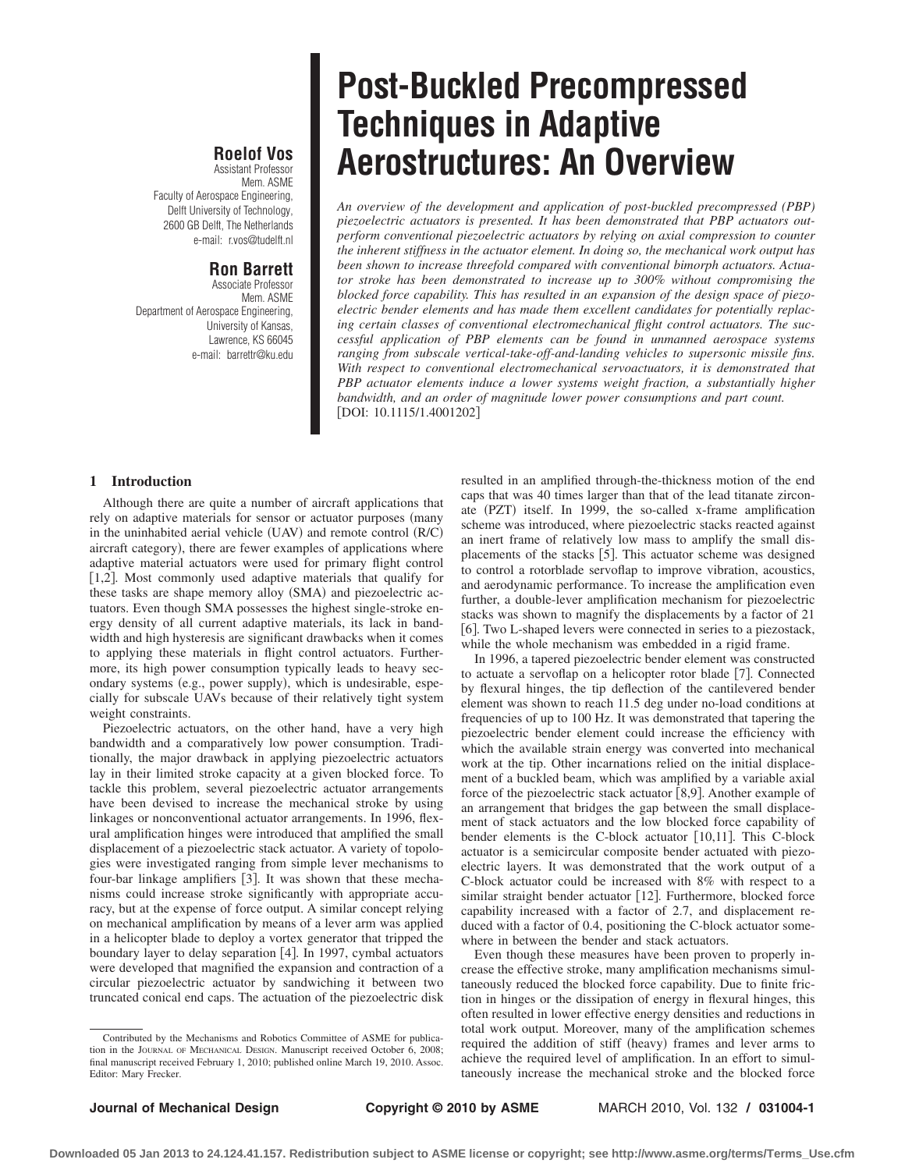## **Roelof Vos**

Assistant Professor Mem. ASME Faculty of Aerospace Engineering, Delft University of Technology, 2600 GB Delft, The Netherlands e-mail: r.vos@tudelft.nl

### **Ron Barrett**

Associate Professor Mem. ASME Department of Aerospace Engineering, University of Kansas, Lawrence, KS 66045 e-mail: barrettr@ku.edu

# **Post-Buckled Precompressed Techniques in Adaptive Aerostructures: An Overview**

*An overview of the development and application of post-buckled precompressed (PBP) piezoelectric actuators is presented. It has been demonstrated that PBP actuators outperform conventional piezoelectric actuators by relying on axial compression to counter the inherent stiffness in the actuator element. In doing so, the mechanical work output has been shown to increase threefold compared with conventional bimorph actuators. Actuator stroke has been demonstrated to increase up to 300% without compromising the blocked force capability. This has resulted in an expansion of the design space of piezoelectric bender elements and has made them excellent candidates for potentially replacing certain classes of conventional electromechanical flight control actuators. The successful application of PBP elements can be found in unmanned aerospace systems ranging from subscale vertical-take-off-and-landing vehicles to supersonic missile fins. With respect to conventional electromechanical servoactuators, it is demonstrated that PBP actuator elements induce a lower systems weight fraction, a substantially higher bandwidth, and an order of magnitude lower power consumptions and part count.* [DOI: 10.1115/1.4001202]

### **1 Introduction**

Although there are quite a number of aircraft applications that rely on adaptive materials for sensor or actuator purposes (many in the uninhabited aerial vehicle  $(UAV)$  and remote control  $(R/C)$ aircraft category, there are fewer examples of applications where adaptive material actuators were used for primary flight control [1,2]. Most commonly used adaptive materials that qualify for these tasks are shape memory alloy (SMA) and piezoelectric actuators. Even though SMA possesses the highest single-stroke energy density of all current adaptive materials, its lack in bandwidth and high hysteresis are significant drawbacks when it comes to applying these materials in flight control actuators. Furthermore, its high power consumption typically leads to heavy secondary systems (e.g., power supply), which is undesirable, especially for subscale UAVs because of their relatively tight system weight constraints.

Piezoelectric actuators, on the other hand, have a very high bandwidth and a comparatively low power consumption. Traditionally, the major drawback in applying piezoelectric actuators lay in their limited stroke capacity at a given blocked force. To tackle this problem, several piezoelectric actuator arrangements have been devised to increase the mechanical stroke by using linkages or nonconventional actuator arrangements. In 1996, flexural amplification hinges were introduced that amplified the small displacement of a piezoelectric stack actuator. A variety of topologies were investigated ranging from simple lever mechanisms to four-bar linkage amplifiers [3]. It was shown that these mechanisms could increase stroke significantly with appropriate accuracy, but at the expense of force output. A similar concept relying on mechanical amplification by means of a lever arm was applied in a helicopter blade to deploy a vortex generator that tripped the boundary layer to delay separation [4]. In 1997, cymbal actuators were developed that magnified the expansion and contraction of a circular piezoelectric actuator by sandwiching it between two truncated conical end caps. The actuation of the piezoelectric disk

resulted in an amplified through-the-thickness motion of the end caps that was 40 times larger than that of the lead titanate zirconate (PZT) itself. In 1999, the so-called x-frame amplification scheme was introduced, where piezoelectric stacks reacted against an inert frame of relatively low mass to amplify the small displacements of the stacks [5]. This actuator scheme was designed to control a rotorblade servoflap to improve vibration, acoustics, and aerodynamic performance. To increase the amplification even further, a double-lever amplification mechanism for piezoelectric stacks was shown to magnify the displacements by a factor of 21 [6]. Two L-shaped levers were connected in series to a piezostack, while the whole mechanism was embedded in a rigid frame.

In 1996, a tapered piezoelectric bender element was constructed to actuate a servoflap on a helicopter rotor blade [7]. Connected by flexural hinges, the tip deflection of the cantilevered bender element was shown to reach 11.5 deg under no-load conditions at frequencies of up to 100 Hz. It was demonstrated that tapering the piezoelectric bender element could increase the efficiency with which the available strain energy was converted into mechanical work at the tip. Other incarnations relied on the initial displacement of a buckled beam, which was amplified by a variable axial force of the piezoelectric stack actuator  $\left[ 8, 9 \right]$ . Another example of an arrangement that bridges the gap between the small displacement of stack actuators and the low blocked force capability of bender elements is the C-block actuator [10,11]. This C-block actuator is a semicircular composite bender actuated with piezoelectric layers. It was demonstrated that the work output of a C-block actuator could be increased with 8% with respect to a similar straight bender actuator [12]. Furthermore, blocked force capability increased with a factor of 2.7, and displacement reduced with a factor of 0.4, positioning the C-block actuator somewhere in between the bender and stack actuators.

Even though these measures have been proven to properly increase the effective stroke, many amplification mechanisms simultaneously reduced the blocked force capability. Due to finite friction in hinges or the dissipation of energy in flexural hinges, this often resulted in lower effective energy densities and reductions in total work output. Moreover, many of the amplification schemes required the addition of stiff (heavy) frames and lever arms to achieve the required level of amplification. In an effort to simultaneously increase the mechanical stroke and the blocked force

**Journal of Mechanical Design Copyright © 2010 by ASME** MARCH 2010, Vol. 132 **/ 031004-1**

Contributed by the Mechanisms and Robotics Committee of ASME for publication in the JOURNAL OF MECHANICAL DESIGN. Manuscript received October 6, 2008; final manuscript received February 1, 2010; published online March 19, 2010. Assoc. Editor: Mary Frecker.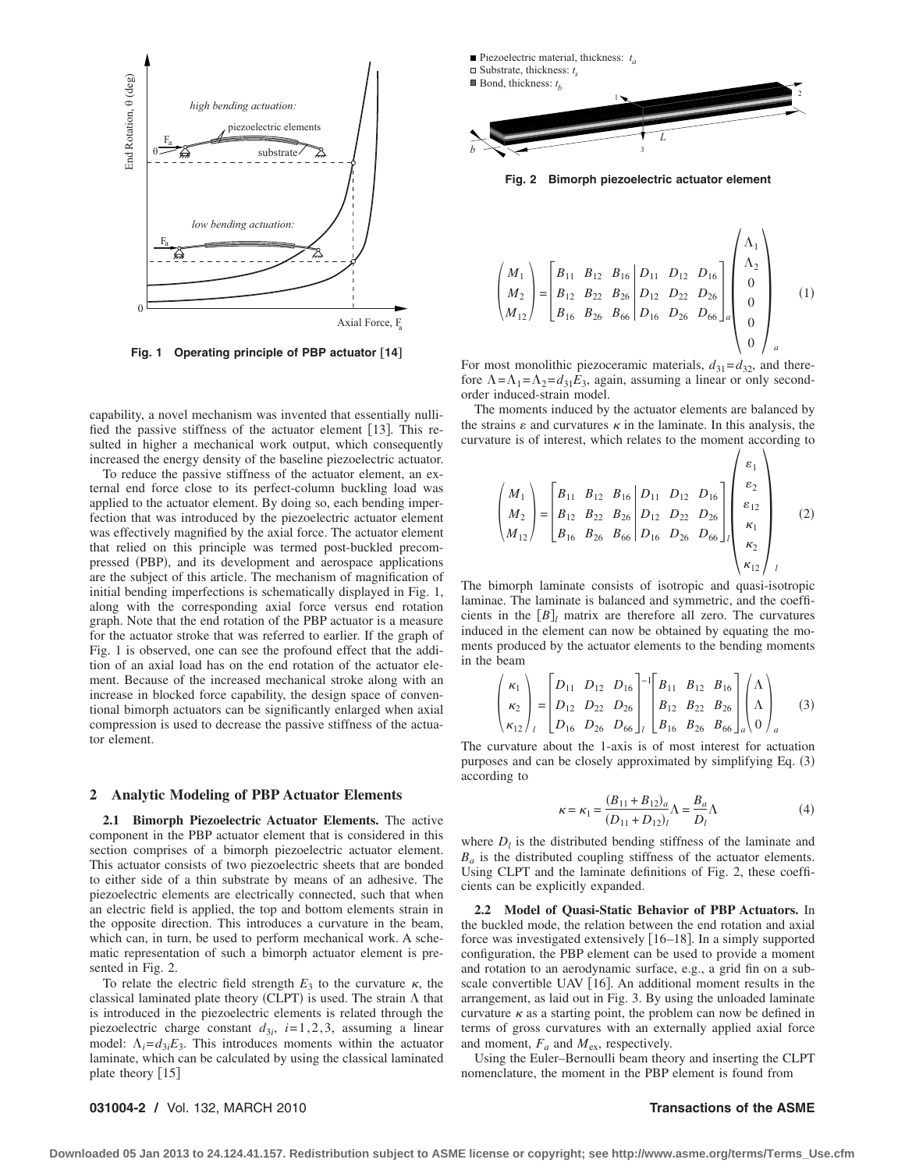

**Fig. 1 Operating principle of PBP actuator** †**14**‡

capability, a novel mechanism was invented that essentially nullified the passive stiffness of the actuator element [13]. This resulted in higher a mechanical work output, which consequently increased the energy density of the baseline piezoelectric actuator.

To reduce the passive stiffness of the actuator element, an external end force close to its perfect-column buckling load was applied to the actuator element. By doing so, each bending imperfection that was introduced by the piezoelectric actuator element was effectively magnified by the axial force. The actuator element that relied on this principle was termed post-buckled precompressed (PBP), and its development and aerospace applications are the subject of this article. The mechanism of magnification of initial bending imperfections is schematically displayed in Fig. 1, along with the corresponding axial force versus end rotation graph. Note that the end rotation of the PBP actuator is a measure for the actuator stroke that was referred to earlier. If the graph of Fig. 1 is observed, one can see the profound effect that the addition of an axial load has on the end rotation of the actuator element. Because of the increased mechanical stroke along with an increase in blocked force capability, the design space of conventional bimorph actuators can be significantly enlarged when axial compression is used to decrease the passive stiffness of the actuator element.

### **2 Analytic Modeling of PBP Actuator Elements**

**2.1 Bimorph Piezoelectric Actuator Elements.** The active component in the PBP actuator element that is considered in this section comprises of a bimorph piezoelectric actuator element. This actuator consists of two piezoelectric sheets that are bonded to either side of a thin substrate by means of an adhesive. The piezoelectric elements are electrically connected, such that when an electric field is applied, the top and bottom elements strain in the opposite direction. This introduces a curvature in the beam, which can, in turn, be used to perform mechanical work. A schematic representation of such a bimorph actuator element is presented in Fig. 2.

To relate the electric field strength  $E_3$  to the curvature  $\kappa$ , the classical laminated plate theory (CLPT) is used. The strain  $\Lambda$  that is introduced in the piezoelectric elements is related through the piezoelectric charge constant  $d_{3i}$ ,  $i=1,2,3$ , assuming a linear model:  $\Lambda_i = d_{3i}E_3$ . This introduces moments within the actuator laminate, which can be calculated by using the classical laminated plate theory [15]



**Fig. 2 Bimorph piezoelectric actuator element**

$$
\begin{pmatrix}\nM_1 \\
M_2 \\
M_{12}\n\end{pmatrix} =\n\begin{bmatrix}\nB_{11} & B_{12} & B_{16} & D_{11} & D_{12} & D_{16} \\
B_{12} & B_{22} & B_{26} & D_{12} & D_{22} & D_{26} \\
B_{16} & B_{26} & B_{66} & D_{16} & D_{26} & D_{66}\n\end{bmatrix}_{a} \begin{pmatrix}\n\Lambda_1 \\
\Lambda_2 \\
0 \\
0 \\
0 \\
0\n\end{pmatrix}_{a}
$$
\n(1)

For most monolithic piezoceramic materials,  $d_{31} = d_{32}$ , and therefore  $\Lambda = \Lambda_1 = \Lambda_2 = d_{31}E_3$ , again, assuming a linear or only secondorder induced-strain model.

The moments induced by the actuator elements are balanced by the strains  $\varepsilon$  and curvatures  $\kappa$  in the laminate. In this analysis, the curvature is of interest, which relates to the moment according to

$$
\begin{pmatrix} M_1 \\ M_2 \\ M_{12} \end{pmatrix} = \begin{bmatrix} B_{11} & B_{12} & B_{16} \\ B_{12} & B_{22} & B_{26} \\ B_{16} & B_{26} & B_{66} \end{bmatrix} \begin{bmatrix} D_{11} & D_{12} & D_{16} \\ D_{12} & D_{22} & D_{26} \\ D_{16} & D_{26} & D_{66} \end{bmatrix} \begin{pmatrix} \varepsilon_1 \\ \varepsilon_2 \\ \varepsilon_{12} \\ \kappa_1 \\ \kappa_2 \\ \kappa_{22} \\ \kappa_{12} \end{pmatrix} (2)
$$

The bimorph laminate consists of isotropic and quasi-isotropic laminae. The laminate is balanced and symmetric, and the coefficients in the  $[B]_l$  matrix are therefore all zero. The curvatures induced in the element can now be obtained by equating the moments produced by the actuator elements to the bending moments in the beam

$$
\begin{pmatrix} \kappa_1 \\ \kappa_2 \\ \kappa_{12} \end{pmatrix}_l = \begin{bmatrix} D_{11} & D_{12} & D_{16} \\ D_{12} & D_{22} & D_{26} \\ D_{16} & D_{26} & D_{66} \end{bmatrix}_l \begin{bmatrix} -1 \\ B_{11} & B_{12} & B_{16} \\ B_{12} & B_{22} & B_{26} \\ B_{16} & B_{26} & B_{66} \end{bmatrix}_a \begin{pmatrix} \Lambda \\ \Lambda \\ \Lambda \end{pmatrix}_a \tag{3}
$$

The curvature about the 1-axis is of most interest for actuation purposes and can be closely approximated by simplifying Eq. (3) according to

$$
\kappa = \kappa_1 = \frac{(B_{11} + B_{12})_a}{(D_{11} + D_{12})_l} \Lambda = \frac{B_a}{D_l} \Lambda
$$
 (4)

where  $D_l$  is the distributed bending stiffness of the laminate and  $B_a$  is the distributed coupling stiffness of the actuator elements. Using CLPT and the laminate definitions of Fig. 2, these coefficients can be explicitly expanded.

**2.2 Model of Quasi-Static Behavior of PBP Actuators.** In the buckled mode, the relation between the end rotation and axial force was investigated extensively [16-18]. In a simply supported configuration, the PBP element can be used to provide a moment and rotation to an aerodynamic surface, e.g., a grid fin on a subscale convertible UAV [16]. An additional moment results in the arrangement, as laid out in Fig. 3. By using the unloaded laminate curvature  $\kappa$  as a starting point, the problem can now be defined in terms of gross curvatures with an externally applied axial force and moment,  $F_a$  and  $M_{ex}$ , respectively.

Using the Euler–Bernoulli beam theory and inserting the CLPT nomenclature, the moment in the PBP element is found from

### **031004-2 /** Vol. 132, MARCH 2010 **Transactions of the ASME**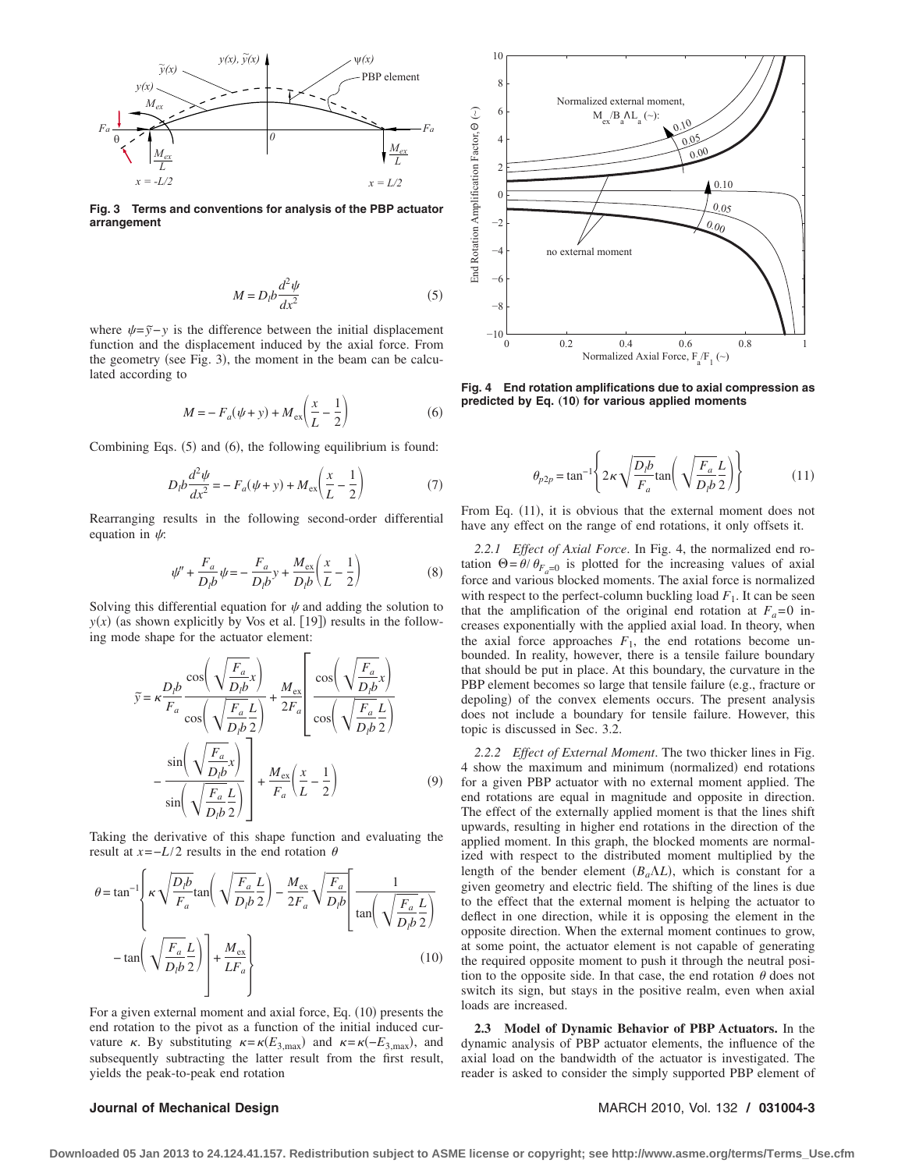

**Fig. 3 Terms and conventions for analysis of the PBP actuator arrangement**

$$
M = D_l b \frac{d^2 \psi}{dx^2}
$$
 (5)

where  $\psi = \tilde{y} - y$  is the difference between the initial displacement function and the displacement induced by the axial force. From the geometry (see Fig. 3), the moment in the beam can be calculated according to

$$
M = -F_a(\psi + y) + M_{ex}(\frac{x}{L} - \frac{1}{2})
$$
 (6)

Combining Eqs.  $(5)$  and  $(6)$ , the following equilibrium is found:

$$
D_l b \frac{d^2 \psi}{dx^2} = -F_a(\psi + y) + M_{\text{ex}} \left( \frac{x}{L} - \frac{1}{2} \right)
$$
 (7)

Rearranging results in the following second-order differential equation in  $\psi$ .

$$
\psi'' + \frac{F_a}{D_l b} \psi = -\frac{F_a}{D_l b} y + \frac{M_{\text{ex}}}{D_l b} \left( \frac{x}{L} - \frac{1}{2} \right)
$$
(8)

Solving this differential equation for  $\psi$  and adding the solution to  $y(x)$  (as shown explicitly by Vos et al. [19]) results in the following mode shape for the actuator element:

$$
\tilde{y} = \kappa \frac{D_l b}{F_a} \frac{\cos\left(\sqrt{\frac{F_a}{D_l b}}x\right)}{\cos\left(\sqrt{\frac{F_a}{D_l b}}\frac{L}{2}\right)} + \frac{M_{ex}}{2F_a} \left[ \frac{\cos\left(\sqrt{\frac{F_a}{D_l b}}x\right)}{\cos\left(\sqrt{\frac{F_a}{D_l b}}\frac{L}{2}\right)} - \frac{\sin\left(\sqrt{\frac{F_a}{D_l b}}x\right)}{\sin\left(\sqrt{\frac{F_a}{D_l b}}\frac{L}{2}\right)} \right] + \frac{M_{ex}}{F_a} \left(\frac{x}{L} - \frac{1}{2}\right) \tag{9}
$$

Taking the derivative of this shape function and evaluating the result at  $x=-L/2$  results in the end rotation  $\theta$ 

$$
\theta = \tan^{-1} \left\{ \kappa \sqrt{\frac{D_l b}{F_a}} \tan \left( \sqrt{\frac{F_a}{D_l b}} \frac{L}{2} \right) - \frac{M_{\text{ex}}}{2F_a} \sqrt{\frac{F_a}{D_l b}} \left[ \frac{1}{\tan \left( \sqrt{\frac{F_a}{D_l b}} \frac{L}{2} \right)} - \tan \left( \sqrt{\frac{F_a}{D_l b}} \frac{L}{2} \right) \right] + \frac{M_{\text{ex}}}{LF_a} \right\}
$$
(10)

For a given external moment and axial force, Eq. (10) presents the end rotation to the pivot as a function of the initial induced curvature  $\kappa$ . By substituting  $\kappa = \kappa(E_{3,\text{max}})$  and  $\kappa = \kappa(-E_{3,\text{max}})$ , and subsequently subtracting the latter result from the first result, yields the peak-to-peak end rotation



**Fig. 4 End rotation amplifications due to axial compression as** predicted by Eq. (10) for various applied moments

$$
\theta_{p2p} = \tan^{-1} \left\{ 2\kappa \sqrt{\frac{D_l b}{F_a}} \tan \left( \sqrt{\frac{F_a}{D_l b}} \frac{L}{2} \right) \right\} \tag{11}
$$

From Eq.  $(11)$ , it is obvious that the external moment does not have any effect on the range of end rotations, it only offsets it.

*2.2.1 Effect of Axial Force*. In Fig. 4, the normalized end rotation  $\Theta = \theta / \theta_{F_a=0}$  is plotted for the increasing values of axial force and various blocked moments. The axial force is normalized with respect to the perfect-column buckling load  $F_1$ . It can be seen that the amplification of the original end rotation at  $F_a = 0$  increases exponentially with the applied axial load. In theory, when the axial force approaches  $F_1$ , the end rotations become unbounded. In reality, however, there is a tensile failure boundary that should be put in place. At this boundary, the curvature in the PBP element becomes so large that tensile failure (e.g., fracture or depoling) of the convex elements occurs. The present analysis does not include a boundary for tensile failure. However, this topic is discussed in Sec. 3.2.

*2.2.2 Effect of External Moment*. The two thicker lines in Fig. 4 show the maximum and minimum (normalized) end rotations for a given PBP actuator with no external moment applied. The end rotations are equal in magnitude and opposite in direction. The effect of the externally applied moment is that the lines shift upwards, resulting in higher end rotations in the direction of the applied moment. In this graph, the blocked moments are normalized with respect to the distributed moment multiplied by the length of the bender element  $(B_a \Lambda L)$ , which is constant for a given geometry and electric field. The shifting of the lines is due to the effect that the external moment is helping the actuator to deflect in one direction, while it is opposing the element in the opposite direction. When the external moment continues to grow, at some point, the actuator element is not capable of generating the required opposite moment to push it through the neutral position to the opposite side. In that case, the end rotation  $\theta$  does not switch its sign, but stays in the positive realm, even when axial loads are increased.

**2.3 Model of Dynamic Behavior of PBP Actuators.** In the dynamic analysis of PBP actuator elements, the influence of the axial load on the bandwidth of the actuator is investigated. The reader is asked to consider the simply supported PBP element of

### **Journal of Mechanical Design** MARCH 2010, Vol. 132 / 031004-3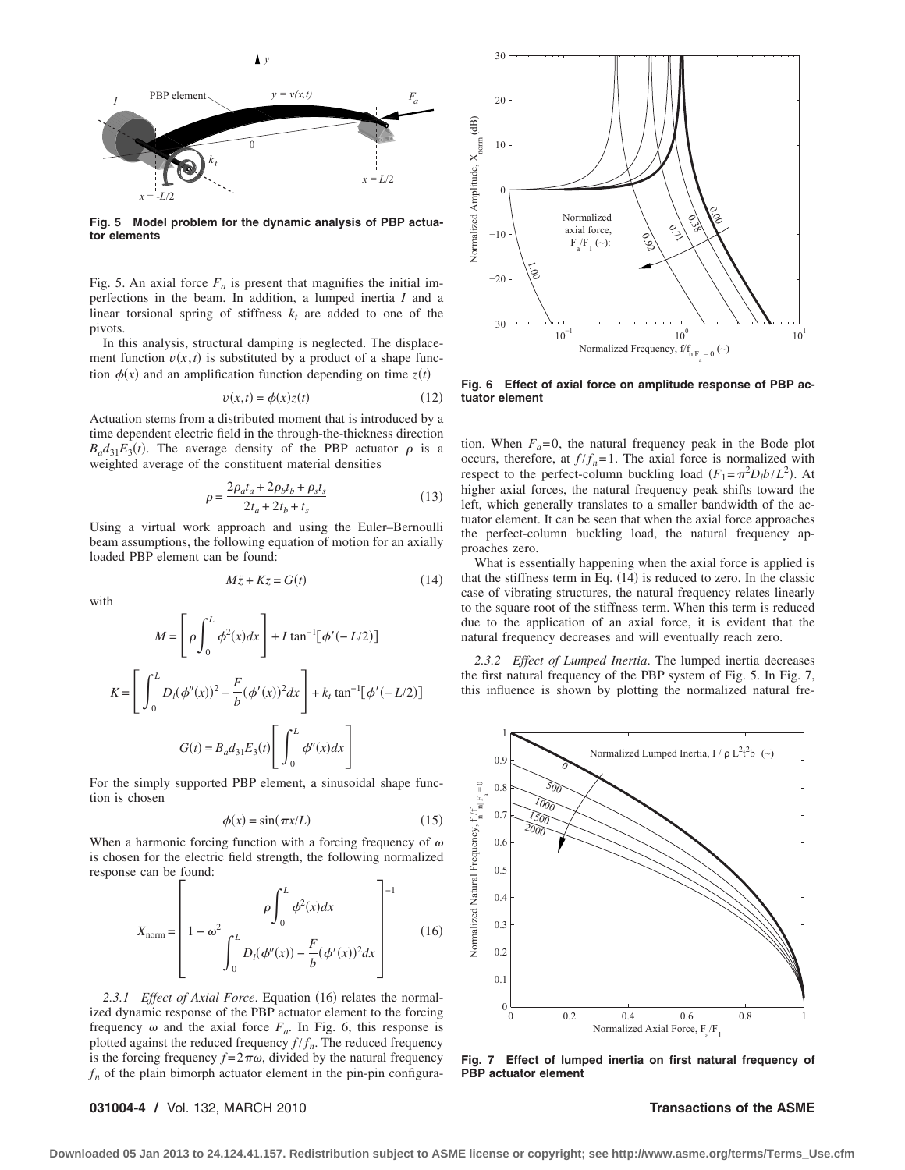

**Fig. 5 Model problem for the dynamic analysis of PBP actuator elements**

Fig. 5. An axial force  $F_a$  is present that magnifies the initial imperfections in the beam. In addition, a lumped inertia *I* and a linear torsional spring of stiffness  $k_t$  are added to one of the pivots.

In this analysis, structural damping is neglected. The displacement function  $v(x,t)$  is substituted by a product of a shape function  $\phi(x)$  and an amplification function depending on time  $z(t)$ 

$$
v(x,t) = \phi(x)z(t) \tag{12}
$$

Actuation stems from a distributed moment that is introduced by a time dependent electric field in the through-the-thickness direction  $B_d d_{31} E_3(t)$ . The average density of the PBP actuator  $\rho$  is a weighted average of the constituent material densities

$$
\rho = \frac{2\rho_a t_a + 2\rho_b t_b + \rho_s t_s}{2t_a + 2t_b + t_s} \tag{13}
$$

Using a virtual work approach and using the Euler–Bernoulli beam assumptions, the following equation of motion for an axially loaded PBP element can be found:

$$
M\ddot{z} + Kz = G(t) \tag{14}
$$

with

$$
M = \left[\rho \int_0^L \phi^2(x) dx\right] + I \tan^{-1}[\phi'(-L/2)]
$$
  

$$
K = \left[\int_0^L D_l(\phi''(x))^2 - \frac{F}{b}(\phi'(x))^2 dx\right] + k_t \tan^{-1}[\phi'(-L/2)]
$$
  

$$
G(t) = B_a d_{31} E_3(t) \left[\int_0^L \phi''(x) dx\right]
$$

For the simply supported PBP element, a sinusoidal shape function is chosen

$$
\phi(x) = \sin(\pi x/L) \tag{15}
$$

When a harmonic forcing function with a forcing frequency of  $\omega$ is chosen for the electric field strength, the following normalized response can be found:

$$
X_{\text{norm}} = \left[1 - \omega^2 \frac{\rho \int_0^L \phi^2(x) dx}{\int_0^L D_l(\phi''(x)) - \frac{F}{b} (\phi'(x))^2 dx}\right]^{-1}
$$
(16)

2.3.1 Effect of Axial Force. Equation (16) relates the normalized dynamic response of the PBP actuator element to the forcing frequency  $\omega$  and the axial force  $F_a$ . In Fig. 6, this response is plotted against the reduced frequency  $f/f_n$ . The reduced frequency is the forcing frequency  $f = 2\pi\omega$ , divided by the natural frequency  $f_n$  of the plain bimorph actuator element in the pin-pin configura-



**Fig. 6 Effect of axial force on amplitude response of PBP actuator element**

tion. When  $F_a = 0$ , the natural frequency peak in the Bode plot occurs, therefore, at  $f/f_n = 1$ . The axial force is normalized with respect to the perfect-column buckling load  $(F_1 = \pi^2 D_l b / L^2)$ . At higher axial forces, the natural frequency peak shifts toward the left, which generally translates to a smaller bandwidth of the actuator element. It can be seen that when the axial force approaches the perfect-column buckling load, the natural frequency approaches zero.

What is essentially happening when the axial force is applied is that the stiffness term in Eq.  $(14)$  is reduced to zero. In the classic case of vibrating structures, the natural frequency relates linearly to the square root of the stiffness term. When this term is reduced due to the application of an axial force, it is evident that the natural frequency decreases and will eventually reach zero.

*2.3.2 Effect of Lumped Inertia*. The lumped inertia decreases the first natural frequency of the PBP system of Fig. 5. In Fig. 7, this influence is shown by plotting the normalized natural fre-



**Fig. 7 Effect of lumped inertia on first natural frequency of PBP actuator element**

### **031004-4 /** Vol. 132, MARCH 2010 **Transactions of the ASME**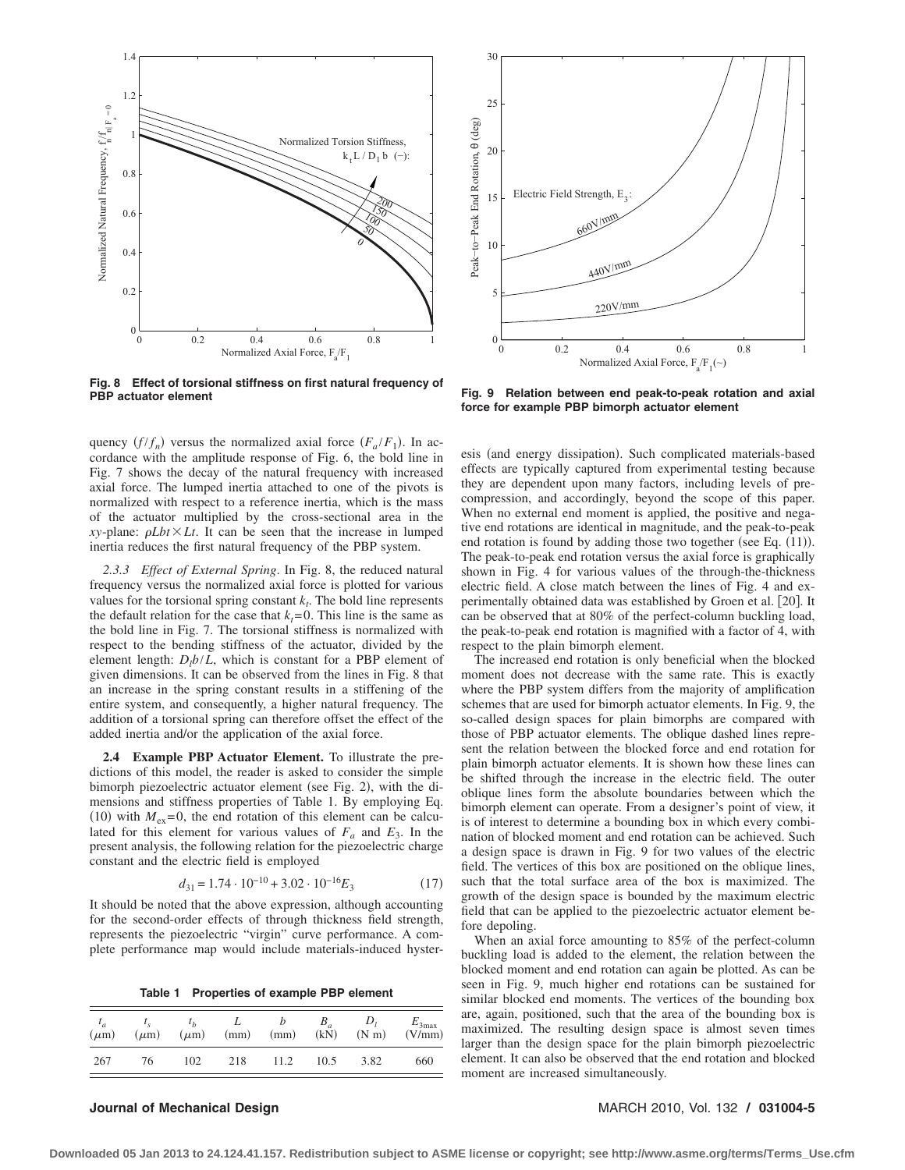

**Fig. 8 Effect of torsional stiffness on first natural frequency of PBP actuator element**

quency  $(f/f_n)$  versus the normalized axial force  $(F_a/F_1)$ . In accordance with the amplitude response of Fig. 6, the bold line in Fig. 7 shows the decay of the natural frequency with increased axial force. The lumped inertia attached to one of the pivots is normalized with respect to a reference inertia, which is the mass of the actuator multiplied by the cross-sectional area in the *xy*-plane:  $\rho Lbt \times Lt$ . It can be seen that the increase in lumped inertia reduces the first natural frequency of the PBP system.

*2.3.3 Effect of External Spring*. In Fig. 8, the reduced natural frequency versus the normalized axial force is plotted for various values for the torsional spring constant  $k_t$ . The bold line represents the default relation for the case that  $k<sub>t</sub>=0$ . This line is the same as the bold line in Fig. 7. The torsional stiffness is normalized with respect to the bending stiffness of the actuator, divided by the element length:  $D_l b/L$ , which is constant for a PBP element of given dimensions. It can be observed from the lines in Fig. 8 that an increase in the spring constant results in a stiffening of the entire system, and consequently, a higher natural frequency. The addition of a torsional spring can therefore offset the effect of the added inertia and/or the application of the axial force.

**2.4 Example PBP Actuator Element.** To illustrate the predictions of this model, the reader is asked to consider the simple bimorph piezoelectric actuator element (see Fig. 2), with the dimensions and stiffness properties of Table 1. By employing Eq. (10) with  $M_{ex}=0$ , the end rotation of this element can be calculated for this element for various values of  $F_a$  and  $E_3$ . In the present analysis, the following relation for the piezoelectric charge constant and the electric field is employed

$$
d_{31} = 1.74 \cdot 10^{-10} + 3.02 \cdot 10^{-16} E_3 \tag{17}
$$

It should be noted that the above expression, although accounting for the second-order effects of through thickness field strength, represents the piezoelectric "virgin" curve performance. A complete performance map would include materials-induced hyster-

**Table 1 Properties of example PBP element**

| $\iota_a$<br>$(\mu m)$ | $(\mu m)$ | $\iota_b$<br>$(\mu m)$ | (mm) | (mm) | $\bm{D}_a$<br>(kN) | (N <sub>m</sub> ) | $E_{\rm 3max}$<br>(V/mm) |
|------------------------|-----------|------------------------|------|------|--------------------|-------------------|--------------------------|
| 267                    | 76        | 102                    | 218  | 11.2 | 10.5               | 3.82              | 660                      |



**Fig. 9 Relation between end peak-to-peak rotation and axial force for example PBP bimorph actuator element**

esis (and energy dissipation). Such complicated materials-based effects are typically captured from experimental testing because they are dependent upon many factors, including levels of precompression, and accordingly, beyond the scope of this paper. When no external end moment is applied, the positive and negative end rotations are identical in magnitude, and the peak-to-peak end rotation is found by adding those two together (see Eq.  $(11)$ ). The peak-to-peak end rotation versus the axial force is graphically shown in Fig. 4 for various values of the through-the-thickness electric field. A close match between the lines of Fig. 4 and experimentally obtained data was established by Groen et al. [20]. It can be observed that at 80% of the perfect-column buckling load, the peak-to-peak end rotation is magnified with a factor of 4, with respect to the plain bimorph element.

The increased end rotation is only beneficial when the blocked moment does not decrease with the same rate. This is exactly where the PBP system differs from the majority of amplification schemes that are used for bimorph actuator elements. In Fig. 9, the so-called design spaces for plain bimorphs are compared with those of PBP actuator elements. The oblique dashed lines represent the relation between the blocked force and end rotation for plain bimorph actuator elements. It is shown how these lines can be shifted through the increase in the electric field. The outer oblique lines form the absolute boundaries between which the bimorph element can operate. From a designer's point of view, it is of interest to determine a bounding box in which every combination of blocked moment and end rotation can be achieved. Such a design space is drawn in Fig. 9 for two values of the electric field. The vertices of this box are positioned on the oblique lines, such that the total surface area of the box is maximized. The growth of the design space is bounded by the maximum electric field that can be applied to the piezoelectric actuator element before depoling.

When an axial force amounting to 85% of the perfect-column buckling load is added to the element, the relation between the blocked moment and end rotation can again be plotted. As can be seen in Fig. 9, much higher end rotations can be sustained for similar blocked end moments. The vertices of the bounding box are, again, positioned, such that the area of the bounding box is maximized. The resulting design space is almost seven times larger than the design space for the plain bimorph piezoelectric element. It can also be observed that the end rotation and blocked moment are increased simultaneously.

### **Journal of Mechanical Design** MARCH 2010, Vol. 132 / 031004-5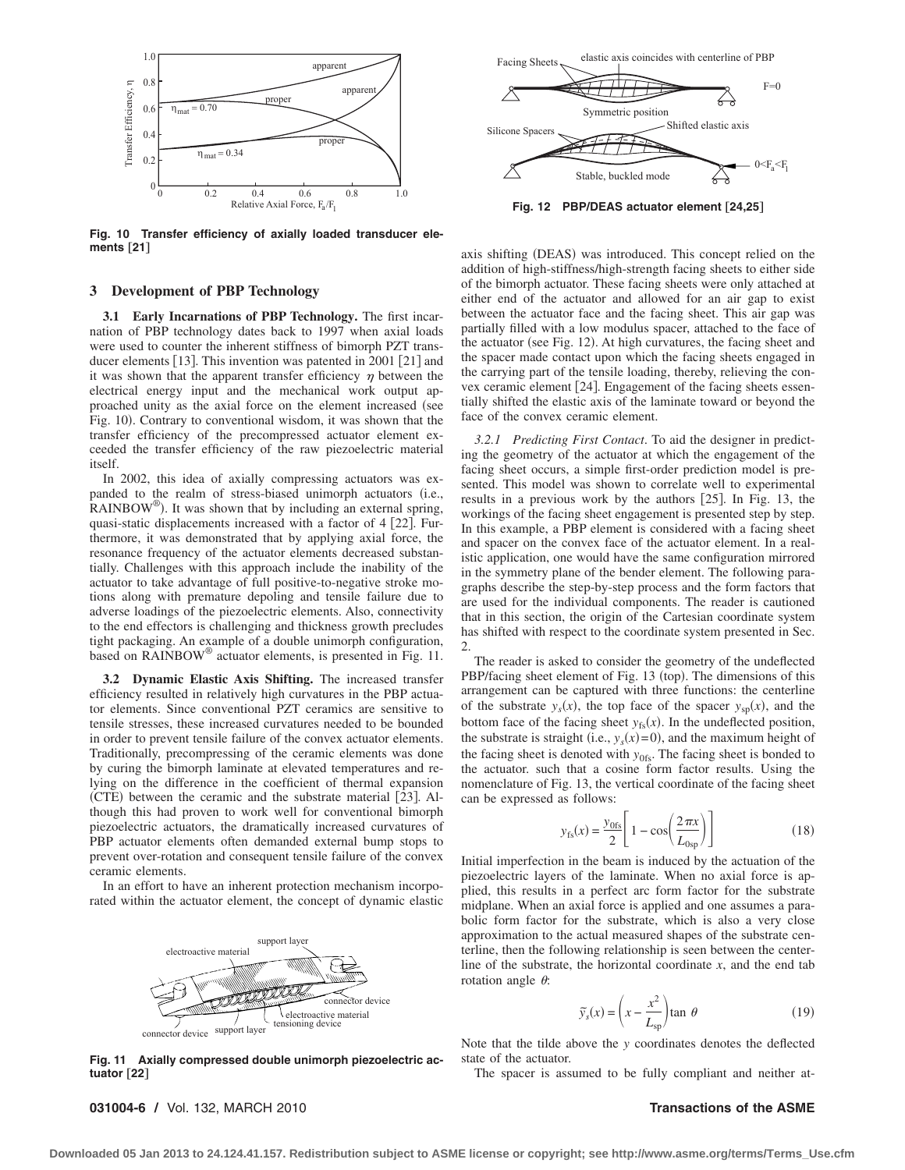

**Fig. 10 Transfer efficiency of axially loaded transducer elements** †**21**‡

### **3 Development of PBP Technology**

**3.1 Early Incarnations of PBP Technology.** The first incarnation of PBP technology dates back to 1997 when axial loads were used to counter the inherent stiffness of bimorph PZT transducer elements [13]. This invention was patented in 2001 [21] and it was shown that the apparent transfer efficiency  $\eta$  between the electrical energy input and the mechanical work output approached unity as the axial force on the element increased (see Fig. 10. Contrary to conventional wisdom, it was shown that the transfer efficiency of the precompressed actuator element exceeded the transfer efficiency of the raw piezoelectric material itself.

In 2002, this idea of axially compressing actuators was expanded to the realm of stress-biased unimorph actuators (i.e., RAINBOW<sup>®</sup>). It was shown that by including an external spring, quasi-static displacements increased with a factor of 4 [22]. Furthermore, it was demonstrated that by applying axial force, the resonance frequency of the actuator elements decreased substantially. Challenges with this approach include the inability of the actuator to take advantage of full positive-to-negative stroke motions along with premature depoling and tensile failure due to adverse loadings of the piezoelectric elements. Also, connectivity to the end effectors is challenging and thickness growth precludes tight packaging. An example of a double unimorph configuration, based on RAINBOW<sup>®</sup> actuator elements, is presented in Fig. 11.

**3.2 Dynamic Elastic Axis Shifting.** The increased transfer efficiency resulted in relatively high curvatures in the PBP actuator elements. Since conventional PZT ceramics are sensitive to tensile stresses, these increased curvatures needed to be bounded in order to prevent tensile failure of the convex actuator elements. Traditionally, precompressing of the ceramic elements was done by curing the bimorph laminate at elevated temperatures and relying on the difference in the coefficient of thermal expansion (CTE) between the ceramic and the substrate material [23]. Although this had proven to work well for conventional bimorph piezoelectric actuators, the dramatically increased curvatures of PBP actuator elements often demanded external bump stops to prevent over-rotation and consequent tensile failure of the convex ceramic elements.

In an effort to have an inherent protection mechanism incorporated within the actuator element, the concept of dynamic elastic



**Fig. 11 Axially compressed double unimorph piezoelectric actuator** †**22**‡



**Fig. 12 PBP/DEAS actuator element** †**24,25**‡

axis shifting (DEAS) was introduced. This concept relied on the addition of high-stiffness/high-strength facing sheets to either side of the bimorph actuator. These facing sheets were only attached at either end of the actuator and allowed for an air gap to exist between the actuator face and the facing sheet. This air gap was partially filled with a low modulus spacer, attached to the face of the actuator (see Fig. 12). At high curvatures, the facing sheet and the spacer made contact upon which the facing sheets engaged in the carrying part of the tensile loading, thereby, relieving the convex ceramic element [24]. Engagement of the facing sheets essentially shifted the elastic axis of the laminate toward or beyond the face of the convex ceramic element.

*3.2.1 Predicting First Contact*. To aid the designer in predicting the geometry of the actuator at which the engagement of the facing sheet occurs, a simple first-order prediction model is presented. This model was shown to correlate well to experimental results in a previous work by the authors [25]. In Fig. 13, the workings of the facing sheet engagement is presented step by step. In this example, a PBP element is considered with a facing sheet and spacer on the convex face of the actuator element. In a realistic application, one would have the same configuration mirrored in the symmetry plane of the bender element. The following paragraphs describe the step-by-step process and the form factors that are used for the individual components. The reader is cautioned that in this section, the origin of the Cartesian coordinate system has shifted with respect to the coordinate system presented in Sec. 2.

The reader is asked to consider the geometry of the undeflected PBP/facing sheet element of Fig. 13 (top). The dimensions of this arrangement can be captured with three functions: the centerline of the substrate  $y_s(x)$ , the top face of the spacer  $y_{sp}(x)$ , and the bottom face of the facing sheet  $y_{fs}(x)$ . In the undeflected position, the substrate is straight (i.e.,  $y_s(x)=0$ ), and the maximum height of the facing sheet is denoted with *y*0fs. The facing sheet is bonded to the actuator. such that a cosine form factor results. Using the nomenclature of Fig. 13, the vertical coordinate of the facing sheet can be expressed as follows:

$$
y_{\text{fs}}(x) = \frac{y_{0\text{fs}}}{2} \left[ 1 - \cos\left(\frac{2\pi x}{L_{0\text{sp}}}\right) \right]
$$
(18)

Initial imperfection in the beam is induced by the actuation of the piezoelectric layers of the laminate. When no axial force is applied, this results in a perfect arc form factor for the substrate midplane. When an axial force is applied and one assumes a parabolic form factor for the substrate, which is also a very close approximation to the actual measured shapes of the substrate centerline, then the following relationship is seen between the centerline of the substrate, the horizontal coordinate  $x$ , and the end tab rotation angle  $\theta$ :

$$
\widetilde{y}_s(x) = \left(x - \frac{x^2}{L_{\rm sp}}\right) \tan \theta \tag{19}
$$

Note that the tilde above the *y* coordinates denotes the deflected state of the actuator.

The spacer is assumed to be fully compliant and neither at-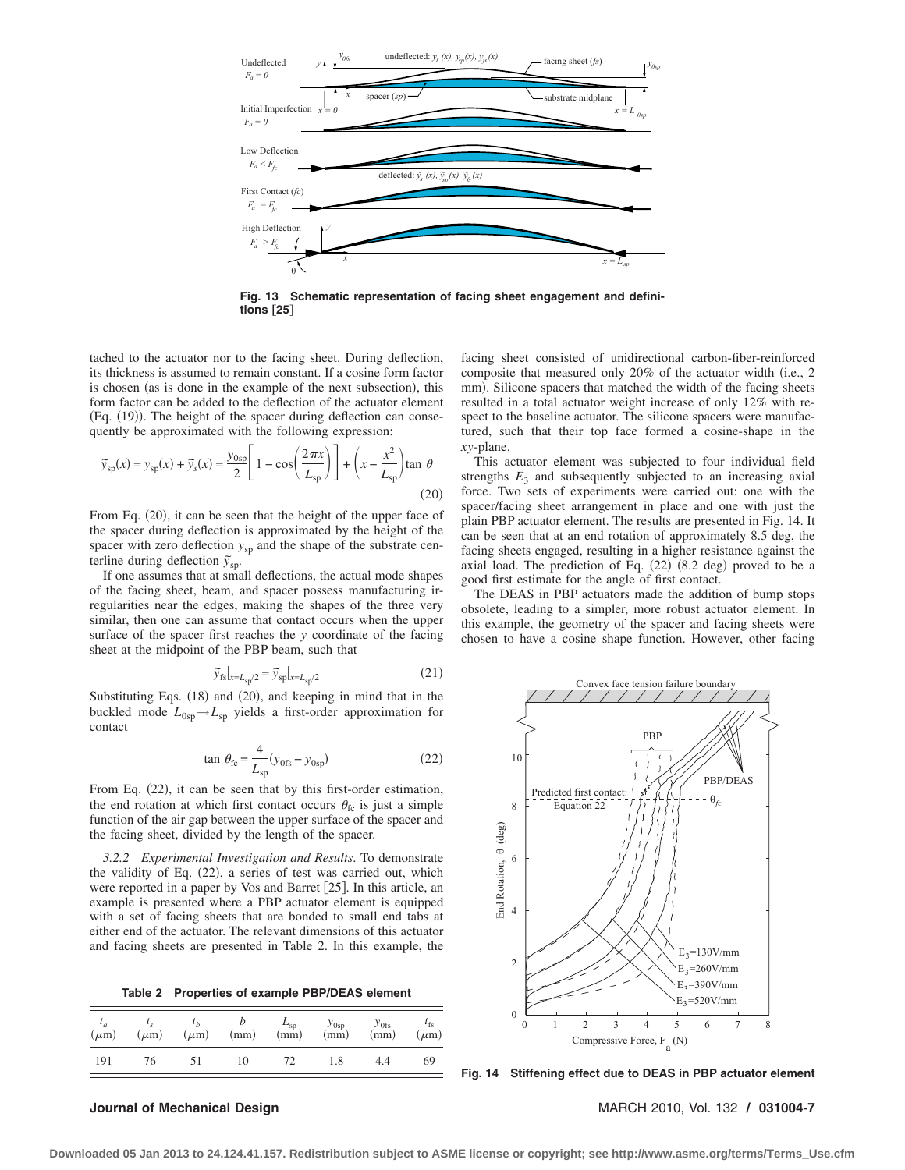

**Fig. 13 Schematic representation of facing sheet engagement and definitions** †**25**‡

tached to the actuator nor to the facing sheet. During deflection, its thickness is assumed to remain constant. If a cosine form factor is chosen (as is done in the example of the next subsection), this form factor can be added to the deflection of the actuator element  $(Eq. (19))$ . The height of the spacer during deflection can consequently be approximated with the following expression:

$$
\widetilde{y}_{sp}(x) = y_{sp}(x) + \widetilde{y}_s(x) = \frac{y_{0sp}}{2} \left[ 1 - \cos\left(\frac{2\pi x}{L_{sp}}\right) \right] + \left(x - \frac{x^2}{L_{sp}}\right) \tan \theta \tag{20}
$$

From Eq.  $(20)$ , it can be seen that the height of the upper face of the spacer during deflection is approximated by the height of the spacer with zero deflection  $y_{\rm sn}$  and the shape of the substrate centerline during deflection  $\tilde{y}_{sp}$ .

If one assumes that at small deflections, the actual mode shapes of the facing sheet, beam, and spacer possess manufacturing irregularities near the edges, making the shapes of the three very similar, then one can assume that contact occurs when the upper surface of the spacer first reaches the *y* coordinate of the facing sheet at the midpoint of the PBP beam, such that

$$
\widetilde{y}_{\text{fs}}|_{x=L_{\text{sp}}/2} = \widetilde{y}_{\text{sp}}|_{x=L_{\text{sp}}/2}
$$
\n(21)

Substituting Eqs.  $(18)$  and  $(20)$ , and keeping in mind that in the buckled mode  $L_{0sp} \rightarrow L_{sp}$  yields a first-order approximation for contact

$$
\tan \theta_{\text{fc}} = \frac{4}{L_{\text{sp}}} (y_{0\text{fs}} - y_{0\text{sp}}) \tag{22}
$$

From Eq.  $(22)$ , it can be seen that by this first-order estimation, the end rotation at which first contact occurs  $\theta_{\text{fc}}$  is just a simple function of the air gap between the upper surface of the spacer and the facing sheet, divided by the length of the spacer.

*3.2.2 Experimental Investigation and Results*. To demonstrate the validity of Eq.  $(22)$ , a series of test was carried out, which were reported in a paper by Vos and Barret [25]. In this article, an example is presented where a PBP actuator element is equipped with a set of facing sheets that are bonded to small end tabs at either end of the actuator. The relevant dimensions of this actuator and facing sheets are presented in Table 2. In this example, the

| Table 2 Properties of example PBP/DEAS element |  |
|------------------------------------------------|--|
|------------------------------------------------|--|

| $\iota_a$<br>$(\mu m)$ | $(\mu m)$ | $\iota_b$<br>$(\mu m)$ | (mm) | $L_{sp}$<br>(mm) | $y_{0sp}$<br>(mm) | $y_{0fs}$<br>(mm) | $\iota_{\text{fs}}$<br>$(\mu m)$ |
|------------------------|-----------|------------------------|------|------------------|-------------------|-------------------|----------------------------------|
| 191                    | 76        |                        | 10   |                  | 1.8               | 4.4               | 69                               |

facing sheet consisted of unidirectional carbon-fiber-reinforced composite that measured only  $20\%$  of the actuator width (i.e., 2 mm). Silicone spacers that matched the width of the facing sheets resulted in a total actuator weight increase of only 12% with respect to the baseline actuator. The silicone spacers were manufactured, such that their top face formed a cosine-shape in the *xy*-plane.

This actuator element was subjected to four individual field strengths  $E_3$  and subsequently subjected to an increasing axial force. Two sets of experiments were carried out: one with the spacer/facing sheet arrangement in place and one with just the plain PBP actuator element. The results are presented in Fig. 14. It can be seen that at an end rotation of approximately 8.5 deg, the facing sheets engaged, resulting in a higher resistance against the axial load. The prediction of Eq.  $(22)$   $(8.2$  deg) proved to be a good first estimate for the angle of first contact.

The DEAS in PBP actuators made the addition of bump stops obsolete, leading to a simpler, more robust actuator element. In this example, the geometry of the spacer and facing sheets were chosen to have a cosine shape function. However, other facing



**Fig. 14 Stiffening effect due to DEAS in PBP actuator element**

**Journal of Mechanical Design** MARCH 2010, Vol. 132 / 031004-7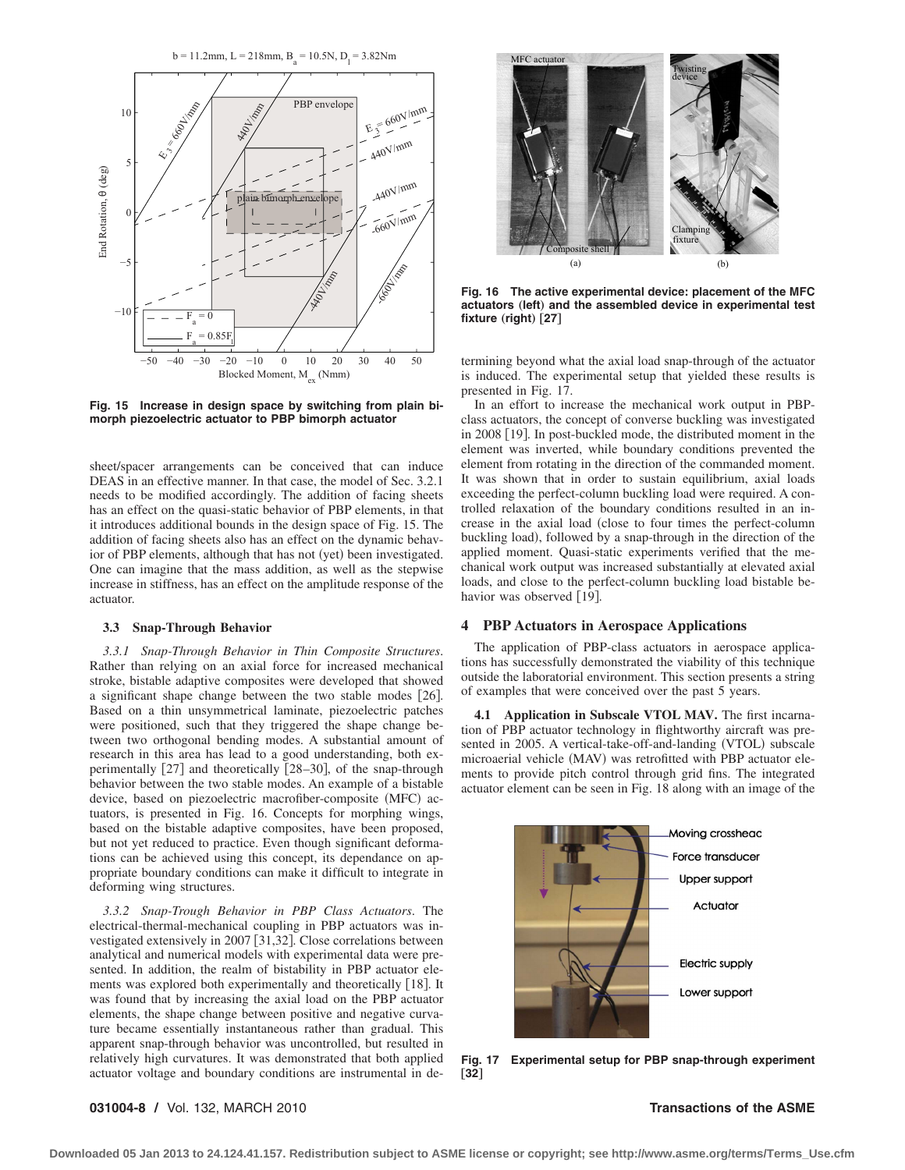$b = 11.2$ mm, L = 218mm, B<sub>a</sub> = 10.5N, D<sub>1</sub> = 3.82Nm



**Fig. 15 Increase in design space by switching from plain bimorph piezoelectric actuator to PBP bimorph actuator**

sheet/spacer arrangements can be conceived that can induce DEAS in an effective manner. In that case, the model of Sec. 3.2.1 needs to be modified accordingly. The addition of facing sheets has an effect on the quasi-static behavior of PBP elements, in that it introduces additional bounds in the design space of Fig. 15. The addition of facing sheets also has an effect on the dynamic behavior of PBP elements, although that has not (yet) been investigated. One can imagine that the mass addition, as well as the stepwise increase in stiffness, has an effect on the amplitude response of the actuator.

### **3.3 Snap-Through Behavior**

*3.3.1 Snap-Through Behavior in Thin Composite Structures*. Rather than relying on an axial force for increased mechanical stroke, bistable adaptive composites were developed that showed a significant shape change between the two stable modes [26]. Based on a thin unsymmetrical laminate, piezoelectric patches were positioned, such that they triggered the shape change between two orthogonal bending modes. A substantial amount of research in this area has lead to a good understanding, both experimentally [27] and theoretically [28–30], of the snap-through behavior between the two stable modes. An example of a bistable device, based on piezoelectric macrofiber-composite (MFC) actuators, is presented in Fig. 16. Concepts for morphing wings, based on the bistable adaptive composites, have been proposed, but not yet reduced to practice. Even though significant deformations can be achieved using this concept, its dependance on appropriate boundary conditions can make it difficult to integrate in deforming wing structures.

*3.3.2 Snap-Trough Behavior in PBP Class Actuators*. The electrical-thermal-mechanical coupling in PBP actuators was investigated extensively in 2007 [31,32]. Close correlations between analytical and numerical models with experimental data were presented. In addition, the realm of bistability in PBP actuator elements was explored both experimentally and theoretically [18]. It was found that by increasing the axial load on the PBP actuator elements, the shape change between positive and negative curvature became essentially instantaneous rather than gradual. This apparent snap-through behavior was uncontrolled, but resulted in relatively high curvatures. It was demonstrated that both applied actuator voltage and boundary conditions are instrumental in de-



**Fig. 16 The active experimental device: placement of the MFC** actuators (left) and the assembled device in experimental test **fixture** (right) [27]

termining beyond what the axial load snap-through of the actuator is induced. The experimental setup that yielded these results is presented in Fig. 17.

In an effort to increase the mechanical work output in PBPclass actuators, the concept of converse buckling was investigated in 2008 [19]. In post-buckled mode, the distributed moment in the element was inverted, while boundary conditions prevented the element from rotating in the direction of the commanded moment. It was shown that in order to sustain equilibrium, axial loads exceeding the perfect-column buckling load were required. A controlled relaxation of the boundary conditions resulted in an increase in the axial load close to four times the perfect-column buckling load, followed by a snap-through in the direction of the applied moment. Quasi-static experiments verified that the mechanical work output was increased substantially at elevated axial loads, and close to the perfect-column buckling load bistable behavior was observed [19].

### **4 PBP Actuators in Aerospace Applications**

The application of PBP-class actuators in aerospace applications has successfully demonstrated the viability of this technique outside the laboratorial environment. This section presents a string of examples that were conceived over the past 5 years.

**4.1 Application in Subscale VTOL MAV.** The first incarnation of PBP actuator technology in flightworthy aircraft was presented in 2005. A vertical-take-off-and-landing (VTOL) subscale microaerial vehicle (MAV) was retrofitted with PBP actuator elements to provide pitch control through grid fins. The integrated actuator element can be seen in Fig. 18 along with an image of the



**Fig. 17 Experimental setup for PBP snap-through experiment** †**32**‡

### **031004-8 /** Vol. 132, MARCH 2010 **Transactions of the ASME**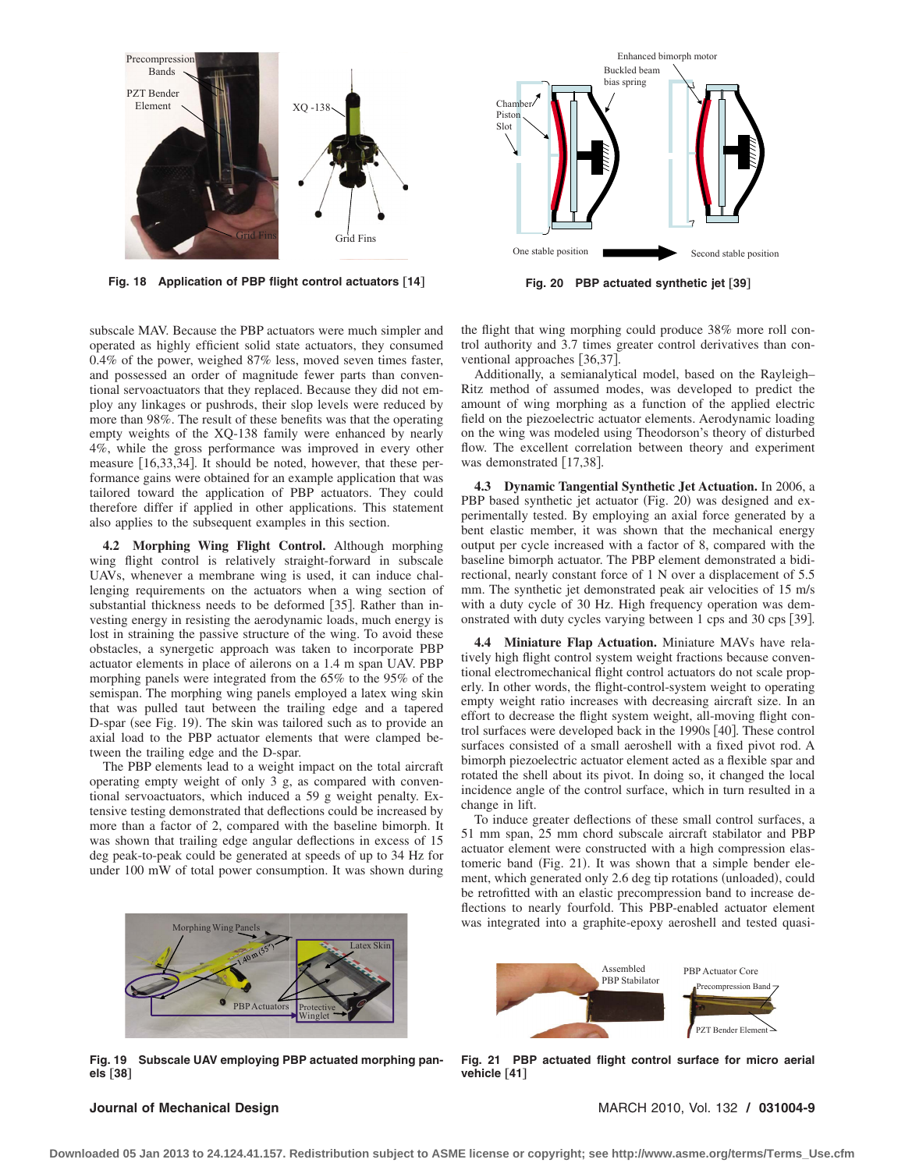

**Fig. 18 Application of PBP flight control actuators** †**14**‡

**Fig. 20 PBP actuated synthetic jet** †**39**‡

subscale MAV. Because the PBP actuators were much simpler and operated as highly efficient solid state actuators, they consumed 0.4% of the power, weighed 87% less, moved seven times faster, and possessed an order of magnitude fewer parts than conventional servoactuators that they replaced. Because they did not employ any linkages or pushrods, their slop levels were reduced by more than 98%. The result of these benefits was that the operating empty weights of the XQ-138 family were enhanced by nearly 4%, while the gross performance was improved in every other measure [16,33,34]. It should be noted, however, that these performance gains were obtained for an example application that was tailored toward the application of PBP actuators. They could therefore differ if applied in other applications. This statement also applies to the subsequent examples in this section.

**4.2 Morphing Wing Flight Control.** Although morphing wing flight control is relatively straight-forward in subscale UAVs, whenever a membrane wing is used, it can induce challenging requirements on the actuators when a wing section of substantial thickness needs to be deformed [35]. Rather than investing energy in resisting the aerodynamic loads, much energy is lost in straining the passive structure of the wing. To avoid these obstacles, a synergetic approach was taken to incorporate PBP actuator elements in place of ailerons on a 1.4 m span UAV. PBP morphing panels were integrated from the 65% to the 95% of the semispan. The morphing wing panels employed a latex wing skin that was pulled taut between the trailing edge and a tapered D-spar (see Fig. 19). The skin was tailored such as to provide an axial load to the PBP actuator elements that were clamped between the trailing edge and the D-spar.

The PBP elements lead to a weight impact on the total aircraft operating empty weight of only 3 g, as compared with conventional servoactuators, which induced a 59 g weight penalty. Extensive testing demonstrated that deflections could be increased by more than a factor of 2, compared with the baseline bimorph. It was shown that trailing edge angular deflections in excess of 15 deg peak-to-peak could be generated at speeds of up to 34 Hz for under 100 mW of total power consumption. It was shown during



**Fig. 19 Subscale UAV employing PBP actuated morphing panels** †**38**‡

the flight that wing morphing could produce 38% more roll control authority and 3.7 times greater control derivatives than conventional approaches [36,37].

Additionally, a semianalytical model, based on the Rayleigh– Ritz method of assumed modes, was developed to predict the amount of wing morphing as a function of the applied electric field on the piezoelectric actuator elements. Aerodynamic loading on the wing was modeled using Theodorson's theory of disturbed flow. The excellent correlation between theory and experiment was demonstrated [17,38].

**4.3 Dynamic Tangential Synthetic Jet Actuation.** In 2006, a PBP based synthetic jet actuator (Fig. 20) was designed and experimentally tested. By employing an axial force generated by a bent elastic member, it was shown that the mechanical energy output per cycle increased with a factor of 8, compared with the baseline bimorph actuator. The PBP element demonstrated a bidirectional, nearly constant force of 1 N over a displacement of 5.5 mm. The synthetic jet demonstrated peak air velocities of 15 m/s with a duty cycle of 30 Hz. High frequency operation was demonstrated with duty cycles varying between 1 cps and 30 cps [39].

**4.4 Miniature Flap Actuation.** Miniature MAVs have relatively high flight control system weight fractions because conventional electromechanical flight control actuators do not scale properly. In other words, the flight-control-system weight to operating empty weight ratio increases with decreasing aircraft size. In an effort to decrease the flight system weight, all-moving flight control surfaces were developed back in the 1990s [40]. These control surfaces consisted of a small aeroshell with a fixed pivot rod. A bimorph piezoelectric actuator element acted as a flexible spar and rotated the shell about its pivot. In doing so, it changed the local incidence angle of the control surface, which in turn resulted in a change in lift.

To induce greater deflections of these small control surfaces, a 51 mm span, 25 mm chord subscale aircraft stabilator and PBP actuator element were constructed with a high compression elastomeric band (Fig. 21). It was shown that a simple bender element, which generated only 2.6 deg tip rotations (unloaded), could be retrofitted with an elastic precompression band to increase deflections to nearly fourfold. This PBP-enabled actuator element was integrated into a graphite-epoxy aeroshell and tested quasi-



**Fig. 21 PBP actuated flight control surface for micro aerial vehicle** †**41**‡

**Journal of Mechanical Design** MARCH 2010, Vol. 132 / 031004-9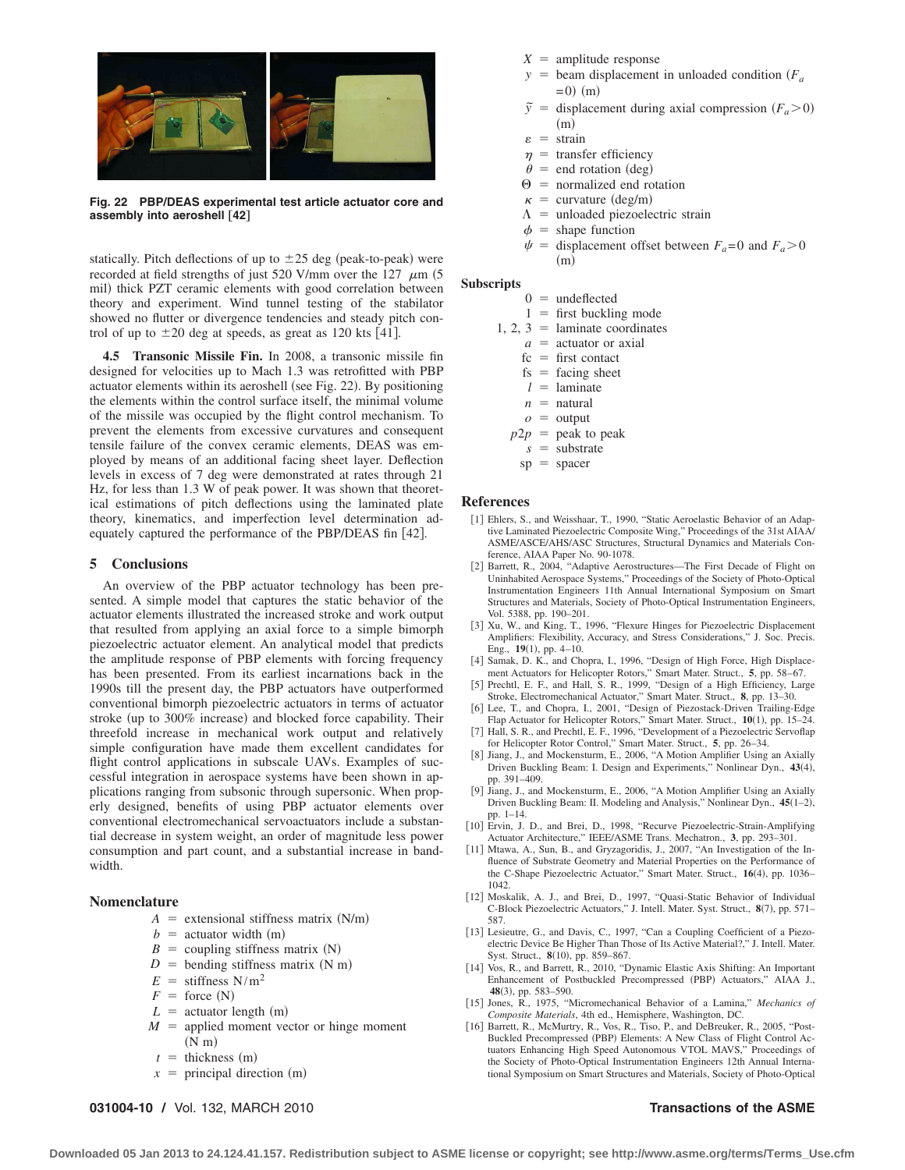

**Fig. 22 PBP/DEAS experimental test article actuator core and assembly into aeroshell** †**42**‡

statically. Pitch deflections of up to  $\pm 25$  deg (peak-to-peak) were recorded at field strengths of just 520 V/mm over the 127  $\mu$ m (5 mil) thick PZT ceramic elements with good correlation between theory and experiment. Wind tunnel testing of the stabilator showed no flutter or divergence tendencies and steady pitch control of up to  $\pm 20$  deg at speeds, as great as 120 kts [41].

**4.5 Transonic Missile Fin.** In 2008, a transonic missile fin designed for velocities up to Mach 1.3 was retrofitted with PBP actuator elements within its aeroshell (see Fig. 22). By positioning the elements within the control surface itself, the minimal volume of the missile was occupied by the flight control mechanism. To prevent the elements from excessive curvatures and consequent tensile failure of the convex ceramic elements, DEAS was employed by means of an additional facing sheet layer. Deflection levels in excess of 7 deg were demonstrated at rates through 21 Hz, for less than 1.3 W of peak power. It was shown that theoretical estimations of pitch deflections using the laminated plate theory, kinematics, and imperfection level determination adequately captured the performance of the PBP/DEAS fin [42].

### **5 Conclusions**

An overview of the PBP actuator technology has been presented. A simple model that captures the static behavior of the actuator elements illustrated the increased stroke and work output that resulted from applying an axial force to a simple bimorph piezoelectric actuator element. An analytical model that predicts the amplitude response of PBP elements with forcing frequency has been presented. From its earliest incarnations back in the 1990s till the present day, the PBP actuators have outperformed conventional bimorph piezoelectric actuators in terms of actuator stroke (up to 300% increase) and blocked force capability. Their threefold increase in mechanical work output and relatively simple configuration have made them excellent candidates for flight control applications in subscale UAVs. Examples of successful integration in aerospace systems have been shown in applications ranging from subsonic through supersonic. When properly designed, benefits of using PBP actuator elements over conventional electromechanical servoactuators include a substantial decrease in system weight, an order of magnitude less power consumption and part count, and a substantial increase in bandwidth.

### **Nomenclature**

- $A =$  extensional stiffness matrix  $(N/m)$
- $b =$  actuator width (m)
- $B =$  coupling stiffness matrix (N)
- $D =$  bending stiffness matrix (N m)
- $E = \text{stiffness } N/m^2$
- $F =$  force (N)
- $L =$  actuator length (m)
- $M =$  applied moment vector or hinge moment  $(N<sub>m</sub>)$
- $t =$  thickness (m)
- $x =$  principal direction (m)
- $X =$  amplitude response
- $y =$  beam displacement in unloaded condition  $(F_a$  $= 0$  (m)
- $\tilde{y}$  = displacement during axial compression  $(F_a > 0)$  $(m)$
- $\varepsilon$  = strain
- $\eta$  = transfer efficiency
- $\theta$  = end rotation (deg)
- $\Theta$  = normalized end rotation
- $\kappa$  = curvature (deg/m)
- $\Lambda$  = unloaded piezoelectric strain
- $\phi$  = shape function
- $\psi$  = displacement offset between  $F_a = 0$  and  $F_a > 0$  $(m)$

### **Subscripts**

 $0 =$  undeflected

 $1 =$  first buckling mode

- $1, 2, 3 =$  laminate coordinates
	- $a =$  actuator or axial
	- $fc =$  first contact
	- $fs = facing sheet$
	- $l =$ laminate
	- $n =$  natural
	- $\rho =$  output
	- $p2p =$  peak to peak
	- $s =$ substrate
	- $sp = spacer$

### **References**

- [1] Ehlers, S., and Weisshaar, T., 1990, "Static Aeroelastic Behavior of an Adaptive Laminated Piezoelectric Composite Wing," Proceedings of the 31st AIAA/ ASME/ASCE/AHS/ASC Structures, Structural Dynamics and Materials Conference, AIAA Paper No. 90-1078.
- [2] Barrett, R., 2004, "Adaptive Aerostructures—The First Decade of Flight on Uninhabited Aerospace Systems," Proceedings of the Society of Photo-Optical Instrumentation Engineers 11th Annual International Symposium on Smart Structures and Materials, Society of Photo-Optical Instrumentation Engineers, Vol. 5388, pp. 190–201.
- [3] Xu, W., and King, T., 1996, "Flexure Hinges for Piezoelectric Displacement Amplifiers: Flexibility, Accuracy, and Stress Considerations," J. Soc. Precis. Eng., **19**1, pp. 4–10.
- [4] Samak, D. K., and Chopra, I., 1996, "Design of High Force, High Displacement Actuators for Helicopter Rotors," Smart Mater. Struct., 5, pp. 58–67.<br>[5] Prechtl, E. F., and Hall, S. R., 1999, "Design of a High Efficiency, Large
- Stroke, Electromechanical Actuator," Smart Mater. Struct., **8**, pp. 13–30.
- [6] Lee, T., and Chopra, I., 2001, "Design of Piezostack-Driven Trailing-Edge Flap Actuator for Helicopter Rotors," Smart Mater. Struct., 10(1), pp. 15-24.
- [7] Hall, S. R., and Prechtl, E. F., 1996, "Development of a Piezoelectric Servoflap for Helicopter Rotor Control," Smart Mater. Struct., **5**, pp. 26–34.
- [8] Jiang, J., and Mockensturm, E., 2006, "A Motion Amplifier Using an Axially Driven Buckling Beam: I. Design and Experiments," Nonlinear Dyn., **43**4, pp. 391–409.
- [9] Jiang, J., and Mockensturm, E., 2006, "A Motion Amplifier Using an Axially Driven Buckling Beam: II. Modeling and Analysis," Nonlinear Dyn., **45**1–2, pp. 1–14.
- [10] Ervin, J. D., and Brei, D., 1998, "Recurve Piezoelectric-Strain-Amplifying Actuator Architecture," IEEE/ASME Trans. Mechatron., **3**, pp. 293–301.
- [11] Mtawa, A., Sun, B., and Gryzagoridis, J., 2007, "An Investigation of the Influence of Substrate Geometry and Material Properties on the Performance of the C-Shape Piezoelectric Actuator," Smart Mater. Struct., 16(4), pp. 1036– 1042.
- [12] Moskalik, A. J., and Brei, D., 1997, "Quasi-Static Behavior of Individual C-Block Piezoelectric Actuators," J. Intell. Mater. Syst. Struct., **8**7, pp. 571– 587.
- [13] Lesieutre, G., and Davis, C., 1997, "Can a Coupling Coefficient of a Piezoelectric Device Be Higher Than Those of Its Active Material?," J. Intell. Mater. Syst. Struct., **8**10, pp. 859–867.
- [14] Vos, R., and Barrett, R., 2010, "Dynamic Elastic Axis Shifting: An Important Enhancement of Postbuckled Precompressed (PBP) Actuators," AIAA J., **48**3, pp. 583–590.
- [15] Jones, R., 1975, "Micromechanical Behavior of a Lamina," Mechanics of *Composite Materials*, 4th ed., Hemisphere, Washington, DC.
- [16] Barrett, R., McMurtry, R., Vos, R., Tiso, P., and DeBreuker, R., 2005, "Post-Buckled Precompressed (PBP) Elements: A New Class of Flight Control Actuators Enhancing High Speed Autonomous VTOL MAVS," Proceedings of the Society of Photo-Optical Instrumentation Engineers 12th Annual International Symposium on Smart Structures and Materials, Society of Photo-Optical

### **031004-10 /** Vol. 132, MARCH 2010 **Transactions of the ASME**